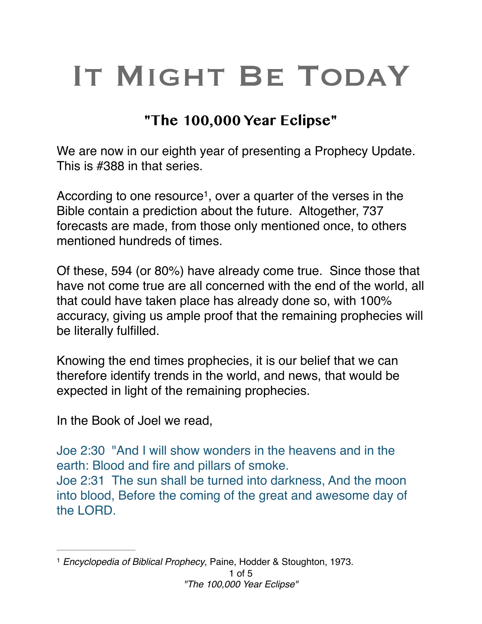# IT MIGHT BE TODAY

# **"The 100,000 Year Eclipse"**

We are now in our eighth year of presenting a Prophecy Update. This is #388 in that series.

According to one resource<sup>1</sup>, over a quarter of the verses in the Bible contain a prediction about the future. Altogether, 737 forecasts are made, from those only mentioned once, to others mentioned hundreds of times.

Of these, 594 (or 80%) have already come true. Since those that have not come true are all concerned with the end of the world, all that could have taken place has already done so, with 100% accuracy, giving us ample proof that the remaining prophecies will be literally fulfilled.

Knowing the end times prophecies, it is our belief that we can therefore identify trends in the world, and news, that would be expected in light of the remaining prophecies.

In the Book of Joel we read,

Joe 2:30 "And I will show wonders in the heavens and in the earth: Blood and fire and pillars of smoke. Joe 2:31 The sun shall be turned into darkness, And the moon into blood, Before the coming of the great and awesome day of the LORD.

<sup>&</sup>lt;sup>1</sup> Encyclopedia of Biblical Prophecy, Paine, Hodder & Stoughton, 1973.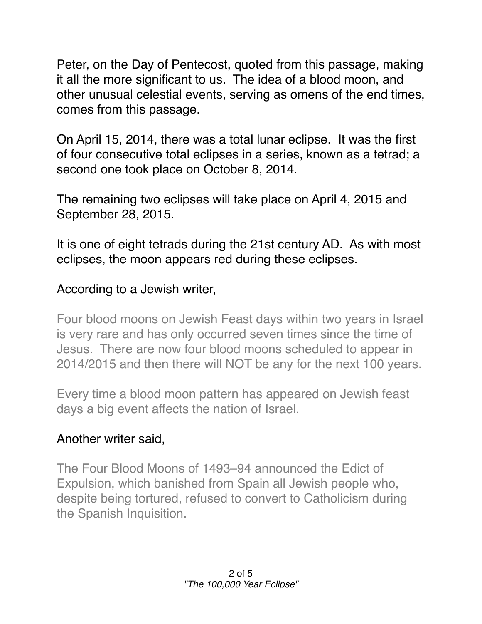Peter, on the Day of Pentecost, quoted from this passage, making it all the more significant to us. The idea of a blood moon, and other unusual celestial events, serving as omens of the end times, comes from this passage.

On April 15, 2014, there was a total lunar eclipse. It was the first of four consecutive total eclipses in a series, known as a tetrad; a second one took place on October 8, 2014.

The remaining two eclipses will take place on April 4, 2015 and September 28, 2015.

It is one of eight tetrads during the 21st century AD. As with most eclipses, the moon appears red during these eclipses.

## According to a Jewish writer,

Four blood moons on Jewish Feast days within two years in Israel is very rare and has only occurred seven times since the time of Jesus. There are now four blood moons scheduled to appear in 2014/2015 and then there will NOT be any for the next 100 years.

Every time a blood moon pattern has appeared on Jewish feast days a big event affects the nation of Israel.

#### Another writer said,

The Four Blood Moons of 1493–94 announced the Edict of Expulsion, which banished from Spain all Jewish people who, despite being tortured, refused to convert to Catholicism during the Spanish Inquisition.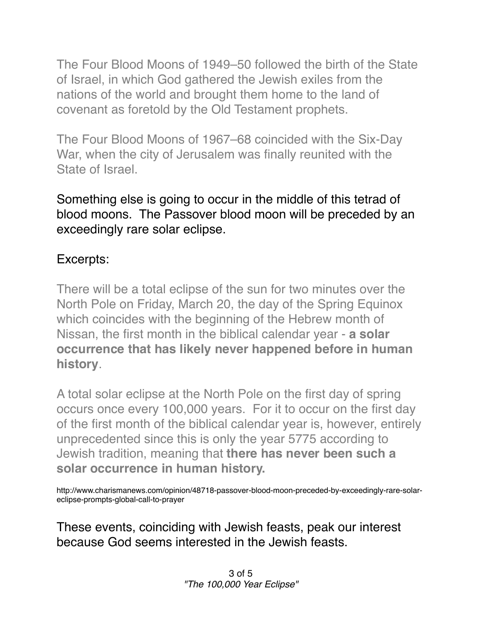The Four Blood Moons of 1949–50 followed the birth of the State of Israel, in which God gathered the Jewish exiles from the nations of the world and brought them home to the land of covenant as foretold by the Old Testament prophets.

The Four Blood Moons of 1967–68 coincided with the Six-Day War, when the city of Jerusalem was finally reunited with the State of Israel.

Something else is going to occur in the middle of this tetrad of blood moons. The Passover blood moon will be preceded by an exceedingly rare solar eclipse.

## Excerpts:

There will be a total eclipse of the sun for two minutes over the North Pole on Friday, March 20, the day of the Spring Equinox which coincides with the beginning of the Hebrew month of Nissan, the first month in the biblical calendar year - **a solar occurrence that has likely never happened before in human history**.

A total solar eclipse at the North Pole on the first day of spring occurs once every 100,000 years. For it to occur on the first day of the first month of the biblical calendar year is, however, entirely unprecedented since this is only the year 5775 according to Jewish tradition, meaning that **there has never been such a solar occurrence in human history.**

http://www.charismanews.com/opinion/48718-passover-blood-moon-preceded-by-exceedingly-rare-solareclipse-prompts-global-call-to-prayer

These events, coinciding with Jewish feasts, peak our interest because God seems interested in the Jewish feasts.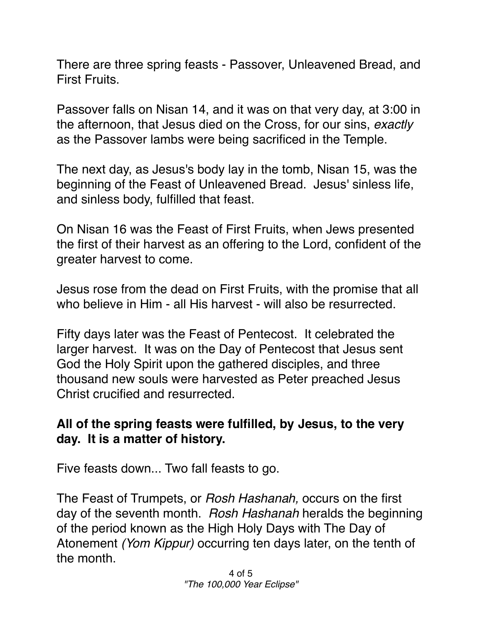There are three spring feasts - Passover, Unleavened Bread, and First Fruits.

Passover falls on Nisan 14, and it was on that very day, at 3:00 in the afternoon, that Jesus died on the Cross, for our sins, *exactly* as the Passover lambs were being sacrificed in the Temple.

The next day, as Jesus's body lay in the tomb, Nisan 15, was the beginning of the Feast of Unleavened Bread. Jesus' sinless life, and sinless body, fulfilled that feast.

On Nisan 16 was the Feast of First Fruits, when Jews presented the first of their harvest as an offering to the Lord, confident of the greater harvest to come.

Jesus rose from the dead on First Fruits, with the promise that all who believe in Him - all His harvest - will also be resurrected.

Fifty days later was the Feast of Pentecost. It celebrated the larger harvest. It was on the Day of Pentecost that Jesus sent God the Holy Spirit upon the gathered disciples, and three thousand new souls were harvested as Peter preached Jesus Christ crucified and resurrected.

#### **All of the spring feasts were fulfilled, by Jesus, to the very day. It is a matter of history.**

Five feasts down... Two fall feasts to go.

The Feast of Trumpets, or *Rosh Hashanah,* occurs on the first day of the seventh month. *Rosh Hashanah* heralds the beginning of the period known as the High Holy Days with The Day of Atonement *(Yom Kippur)* occurring ten days later, on the tenth of the month.